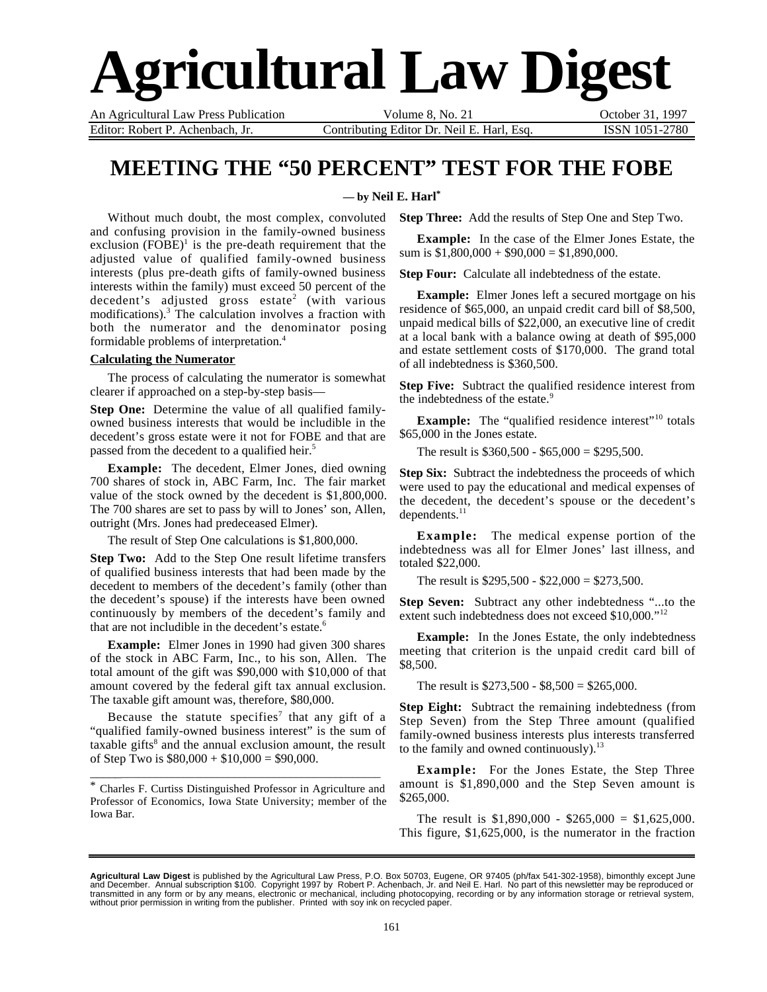# **Agricultural Law Digest**

An Agricultural Law Press Publication Volume 8, No. 21 October 31, 1997 Editor: Robert P. Achenbach, Jr. Contributing Editor Dr. Neil E. Harl, Esq. ISSN 1051-2780

## **MEETING THE "50 PERCENT" TEST FOR THE FOBE**

#### **— by Neil E. Harl\***

Without much doubt, the most complex, convoluted and confusing provision in the family-owned business exclusion  $(FOBE)^1$  is the pre-death requirement that the adjusted value of qualified family-owned business interests (plus pre-death gifts of family-owned business interests within the family) must exceed 50 percent of the decedent's adjusted gross estate<sup>2</sup> (with various modifications).3 The calculation involves a fraction with both the numerator and the denominator posing formidable problems of interpretation.4

#### **Calculating the Numerator**

The process of calculating the numerator is somewhat clearer if approached on a step-by-step basis—

**Step One:** Determine the value of all qualified familyowned business interests that would be includible in the decedent's gross estate were it not for FOBE and that are passed from the decedent to a qualified heir.<sup>5</sup>

**Example:** The decedent, Elmer Jones, died owning 700 shares of stock in, ABC Farm, Inc. The fair market value of the stock owned by the decedent is \$1,800,000. The 700 shares are set to pass by will to Jones' son, Allen, outright (Mrs. Jones had predeceased Elmer).

The result of Step One calculations is \$1,800,000.

**Step Two:** Add to the Step One result lifetime transfers of qualified business interests that had been made by the decedent to members of the decedent's family (other than the decedent's spouse) if the interests have been owned continuously by members of the decedent's family and that are not includible in the decedent's estate.<sup>6</sup>

**Example:** Elmer Jones in 1990 had given 300 shares of the stock in ABC Farm, Inc., to his son, Allen. The total amount of the gift was \$90,000 with \$10,000 of that amount covered by the federal gift tax annual exclusion. The taxable gift amount was, therefore, \$80,000.

Because the statute specifies<sup>7</sup> that any gift of a "qualified family-owned business interest" is the sum of taxable gifts<sup>8</sup> and the annual exclusion amount, the result of Step Two is  $$80,000 + $10,000 = $90,000$ .

\* Charles F. Curtiss Distinguished Professor in Agriculture and Professor of Economics, Iowa State University; member of the Iowa Bar.

\_\_\_\_\_\_\_\_\_\_\_\_\_\_\_\_\_\_\_\_\_\_\_\_\_\_\_\_\_\_\_\_\_\_\_\_\_\_\_\_\_\_\_\_\_\_\_\_\_\_\_

**Step Three:** Add the results of Step One and Step Two.

**Example:** In the case of the Elmer Jones Estate, the sum is  $$1,800,000 + $90,000 = $1,890,000$ .

**Step Four:** Calculate all indebtedness of the estate.

**Example:** Elmer Jones left a secured mortgage on his residence of \$65,000, an unpaid credit card bill of \$8,500, unpaid medical bills of \$22,000, an executive line of credit at a local bank with a balance owing at death of \$95,000 and estate settlement costs of \$170,000. The grand total of all indebtedness is \$360,500.

**Step Five:** Subtract the qualified residence interest from the indebtedness of the estate.<sup>9</sup>

**Example:** The "qualified residence interest"<sup>10</sup> totals \$65,000 in the Jones estate.

The result is \$360,500 - \$65,000 = \$295,500.

**Step Six:** Subtract the indebtedness the proceeds of which were used to pay the educational and medical expenses of the decedent, the decedent's spouse or the decedent's dependents.<sup>11</sup>

**Example:** The medical expense portion of the indebtedness was all for Elmer Jones' last illness, and totaled \$22,000.

The result is \$295,500 - \$22,000 = \$273,500.

**Step Seven:** Subtract any other indebtedness "...to the extent such indebtedness does not exceed \$10,000."<sup>12</sup>

**Example:** In the Jones Estate, the only indebtedness meeting that criterion is the unpaid credit card bill of \$8,500.

The result is  $$273,500 - $8,500 = $265,000$ .

**Step Eight:** Subtract the remaining indebtedness (from Step Seven) from the Step Three amount (qualified family-owned business interests plus interests transferred to the family and owned continuously). $^{13}$ 

**Example:** For the Jones Estate, the Step Three amount is \$1,890,000 and the Step Seven amount is \$265,000.

The result is  $$1,890,000 - $265,000 = $1,625,000$ . This figure, \$1,625,000, is the numerator in the fraction

**Agricultural Law Digest** is published by the Agricultural Law Press, P.O. Box 50703, Eugene, OR 97405 (ph/fax 541-302-1958), bimonthly except June<br>and December. Annual subscription \$100. Copyright 1997 by Robert P. Achenb transmitted in any form or by any means, electronic or mechanical, including photocopying, recording or by any information storage or retrieval system,<br>without prior permission in writing from the publisher. Printed with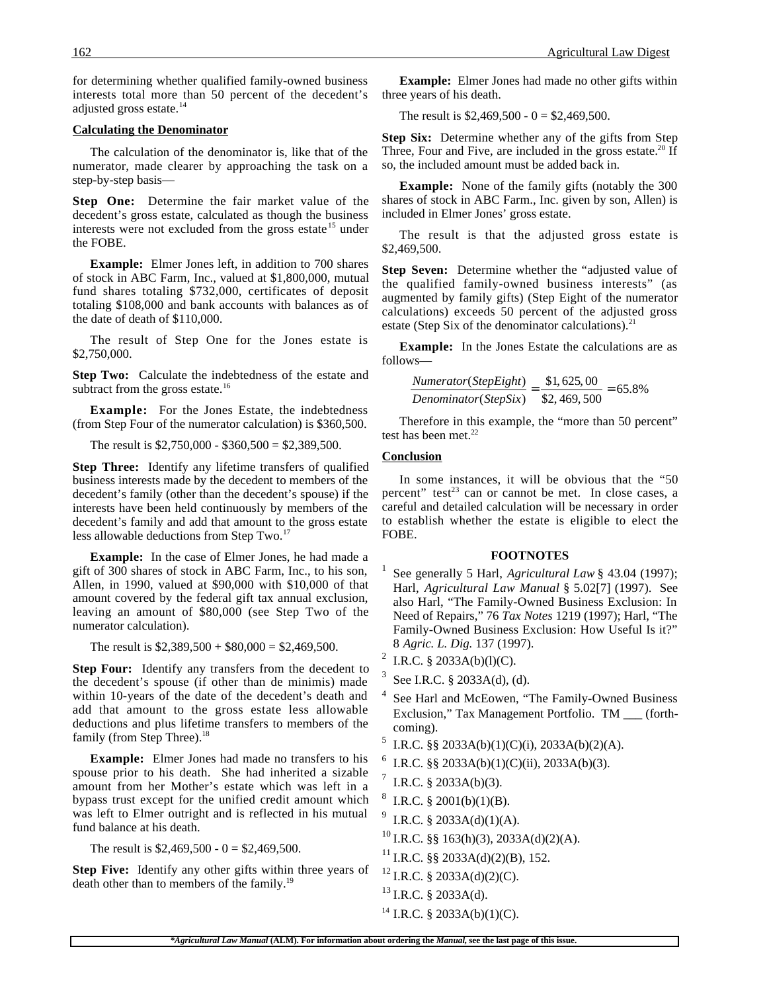for determining whether qualified family-owned business interests total more than 50 percent of the decedent's adjusted gross estate.<sup>14</sup>

#### **Calculating the Denominator**

The calculation of the denominator is, like that of the numerator, made clearer by approaching the task on a step-by-step basis—

**Step One:** Determine the fair market value of the decedent's gross estate, calculated as though the business interests were not excluded from the gross estate<sup>15</sup> under the FOBE.

**Example:** Elmer Jones left, in addition to 700 shares of stock in ABC Farm, Inc., valued at \$1,800,000, mutual fund shares totaling \$732,000, certificates of deposit totaling \$108,000 and bank accounts with balances as of the date of death of \$110,000.

The result of Step One for the Jones estate is \$2,750,000.

**Step Two:** Calculate the indebtedness of the estate and subtract from the gross estate.<sup>16</sup>

**Example:** For the Jones Estate, the indebtedness (from Step Four of the numerator calculation) is \$360,500.

The result is  $$2,750,000 - $360,500 = $2,389,500$ .

**Step Three:** Identify any lifetime transfers of qualified business interests made by the decedent to members of the decedent's family (other than the decedent's spouse) if the interests have been held continuously by members of the decedent's family and add that amount to the gross estate less allowable deductions from Step Two.<sup>17</sup>

**Example:** In the case of Elmer Jones, he had made a gift of 300 shares of stock in ABC Farm, Inc., to his son, Allen, in 1990, valued at \$90,000 with \$10,000 of that amount covered by the federal gift tax annual exclusion, leaving an amount of \$80,000 (see Step Two of the numerator calculation).

The result is  $$2,389,500 + $80,000 = $2,469,500$ .

**Step Four:** Identify any transfers from the decedent to the decedent's spouse (if other than de minimis) made within 10-years of the date of the decedent's death and add that amount to the gross estate less allowable deductions and plus lifetime transfers to members of the family (from Step Three).<sup>18</sup>

**Example:** Elmer Jones had made no transfers to his spouse prior to his death. She had inherited a sizable amount from her Mother's estate which was left in a bypass trust except for the unified credit amount which was left to Elmer outright and is reflected in his mutual fund balance at his death.

The result is  $$2,469,500 - 0 = $2,469,500$ .

**Step Five:** Identify any other gifts within three years of death other than to members of the family.<sup>19</sup>

**Example:** Elmer Jones had made no other gifts within three years of his death.

The result is  $$2,469,500 - 0 = $2,469,500$ .

**Step Six:** Determine whether any of the gifts from Step Three, Four and Five, are included in the gross estate.<sup>20</sup> If so, the included amount must be added back in.

**Example:** None of the family gifts (notably the 300 shares of stock in ABC Farm., Inc. given by son, Allen) is included in Elmer Jones' gross estate.

The result is that the adjusted gross estate is \$2,469,500.

**Step Seven:** Determine whether the "adjusted value of the qualified family-owned business interests" (as augmented by family gifts) (Step Eight of the numerator calculations) exceeds 50 percent of the adjusted gross estate (Step Six of the denominator calculations).<sup>21</sup>

**Example:** In the Jones Estate the calculations are as follows—

$$
\frac{Numerator(StepEight)}{Denominator(StepSix)} = \frac{$1,625,00}{$2,469,500} = 65.8\%
$$

Therefore in this example, the "more than 50 percent" test has been met. $22$ 

#### **Conclusion**

In some instances, it will be obvious that the "50 percent" test<sup>23</sup> can or cannot be met. In close cases, a careful and detailed calculation will be necessary in order to establish whether the estate is eligible to elect the FOBE.

#### **FOOTNOTES**

- <sup>1</sup> See generally 5 Harl, *Agricultural Law* § 43.04 (1997); Harl, *Agricultural Law Manual* § 5.02[7] (1997). See also Harl, "The Family-Owned Business Exclusion: In Need of Repairs," 76 *Tax Notes* 1219 (1997); Harl, "The Family-Owned Business Exclusion: How Useful Is it?" 8 *Agric. L. Dig.* 137 (1997).
- <sup>2</sup> I.R.C. § 2033A(b)(l)(C).
- See I.R.C. § 2033A(d), (d).
- See Harl and McEowen, "The Family-Owned Business Exclusion," Tax Management Portfolio. TM \_\_\_ (forthcoming).
- I.R.C. §§ 2033A(b)(1)(C)(i), 2033A(b)(2)(A).
- I.R.C. §§ 2033A(b)(1)(C)(ii), 2033A(b)(3).
- I.R.C.  $§$  2033A(b)(3).
- I.R.C.  $§$  2001(b)(1)(B).
- I.R.C. § 2033A(d)(1)(A).
- <sup>10</sup> I.R.C. §§ 163(h)(3), 2033A(d)(2)(A).
- <sup>11</sup> I.R.C. §§ 2033A(d)(2)(B), 152.
- $12$  I.R.C. § 2033A(d)(2)(C).
- $^{13}$  I.R.C. § 2033A(d).
- $14$  I.R.C. § 2033A(b)(1)(C).